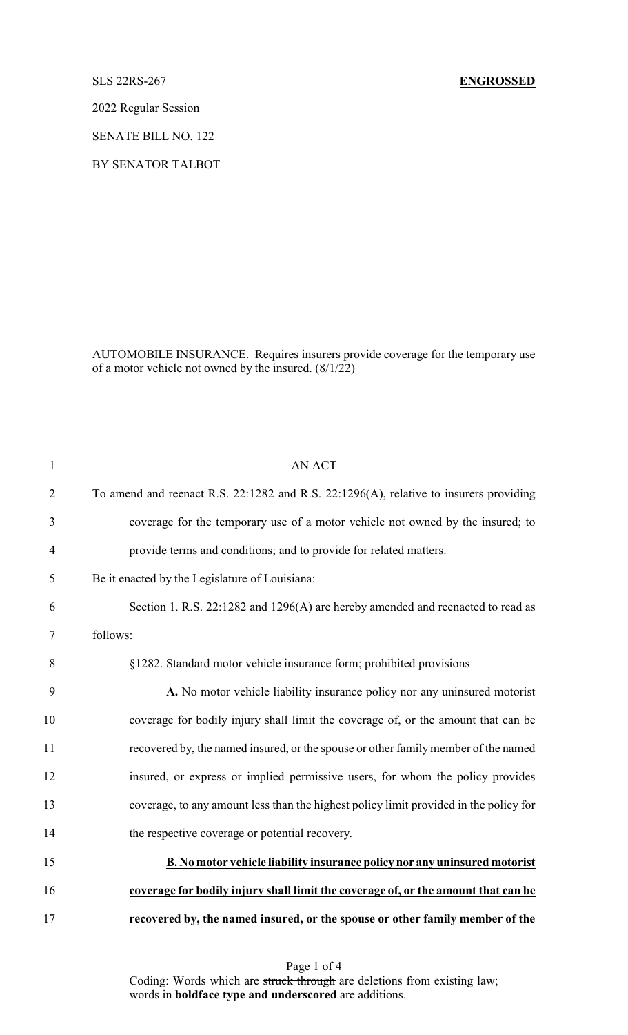2022 Regular Session

SENATE BILL NO. 122

BY SENATOR TALBOT

AUTOMOBILE INSURANCE. Requires insurers provide coverage for the temporary use of a motor vehicle not owned by the insured. (8/1/22)

| $\mathbf{1}$   | <b>AN ACT</b>                                                                         |
|----------------|---------------------------------------------------------------------------------------|
| $\overline{2}$ | To amend and reenact R.S. 22:1282 and R.S. 22:1296(A), relative to insurers providing |
| 3              | coverage for the temporary use of a motor vehicle not owned by the insured; to        |
| $\overline{4}$ | provide terms and conditions; and to provide for related matters.                     |
| 5              | Be it enacted by the Legislature of Louisiana:                                        |
| 6              | Section 1. R.S. 22:1282 and 1296(A) are hereby amended and reenacted to read as       |
| 7              | follows:                                                                              |
| 8              | §1282. Standard motor vehicle insurance form; prohibited provisions                   |
| 9              | A. No motor vehicle liability insurance policy nor any uninsured motorist             |
| 10             | coverage for bodily injury shall limit the coverage of, or the amount that can be     |
| 11             | recovered by, the named insured, or the spouse or other family member of the named    |
| 12             | insured, or express or implied permissive users, for whom the policy provides         |
| 13             | coverage, to any amount less than the highest policy limit provided in the policy for |
| 14             | the respective coverage or potential recovery.                                        |
| 15             | B. No motor vehicle liability insurance policy nor any uninsured motorist             |
| 16             | coverage for bodily injury shall limit the coverage of, or the amount that can be     |
| 17             | recovered by, the named insured, or the spouse or other family member of the          |

Page 1 of 4 Coding: Words which are struck through are deletions from existing law; words in **boldface type and underscored** are additions.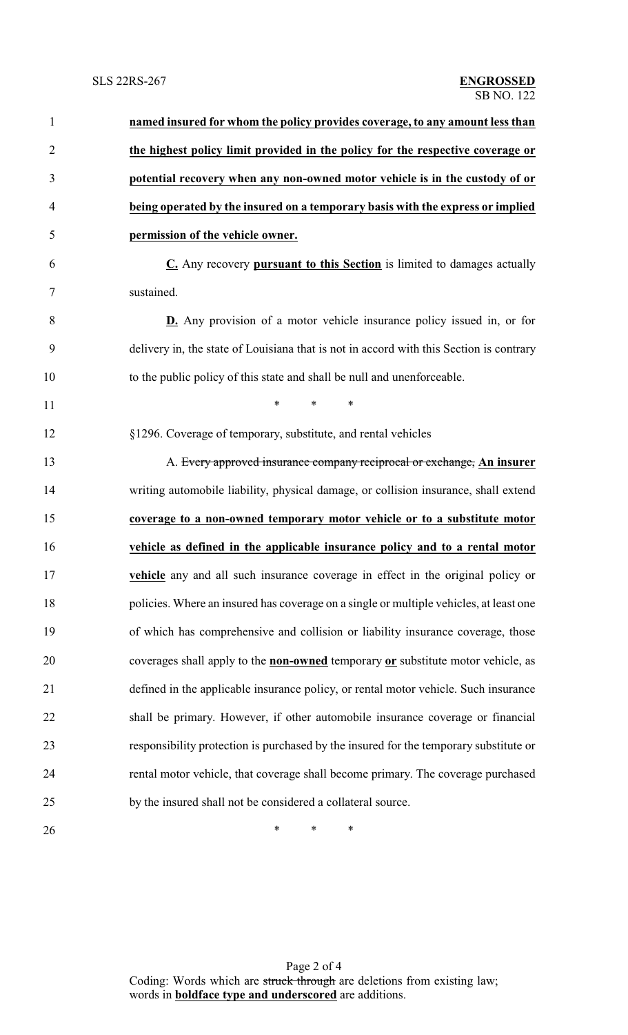| $\mathbf{1}$   | named insured for whom the policy provides coverage, to any amount less than            |
|----------------|-----------------------------------------------------------------------------------------|
| $\overline{2}$ | the highest policy limit provided in the policy for the respective coverage or          |
| 3              | potential recovery when any non-owned motor vehicle is in the custody of or             |
| $\overline{4}$ | being operated by the insured on a temporary basis with the express or implied          |
| 5              | permission of the vehicle owner.                                                        |
| 6              | C. Any recovery pursuant to this Section is limited to damages actually                 |
| $\overline{7}$ | sustained.                                                                              |
| 8              | <b>D.</b> Any provision of a motor vehicle insurance policy issued in, or for           |
| 9              | delivery in, the state of Louisiana that is not in accord with this Section is contrary |
| 10             | to the public policy of this state and shall be null and unenforceable.                 |
| 11             | $\ast$<br>$\ast$<br>$\ast$                                                              |
| 12             | §1296. Coverage of temporary, substitute, and rental vehicles                           |
| 13             | A. Every approved insurance company reciprocal or exchange, An insurer                  |
| 14             | writing automobile liability, physical damage, or collision insurance, shall extend     |
| 15             | coverage to a non-owned temporary motor vehicle or to a substitute motor                |
| 16             | vehicle as defined in the applicable insurance policy and to a rental motor             |
| 17             | vehicle any and all such insurance coverage in effect in the original policy or         |
| 18             | policies. Where an insured has coverage on a single or multiple vehicles, at least one  |
| 19             | of which has comprehensive and collision or liability insurance coverage, those         |
| 20             | coverages shall apply to the <b>non-owned</b> temporary or substitute motor vehicle, as |
| 21             | defined in the applicable insurance policy, or rental motor vehicle. Such insurance     |
| 22             | shall be primary. However, if other automobile insurance coverage or financial          |
| 23             | responsibility protection is purchased by the insured for the temporary substitute or   |
| 24             | rental motor vehicle, that coverage shall become primary. The coverage purchased        |
| 25             | by the insured shall not be considered a collateral source.                             |
| 26             | ∗<br>$\ast$<br>∗                                                                        |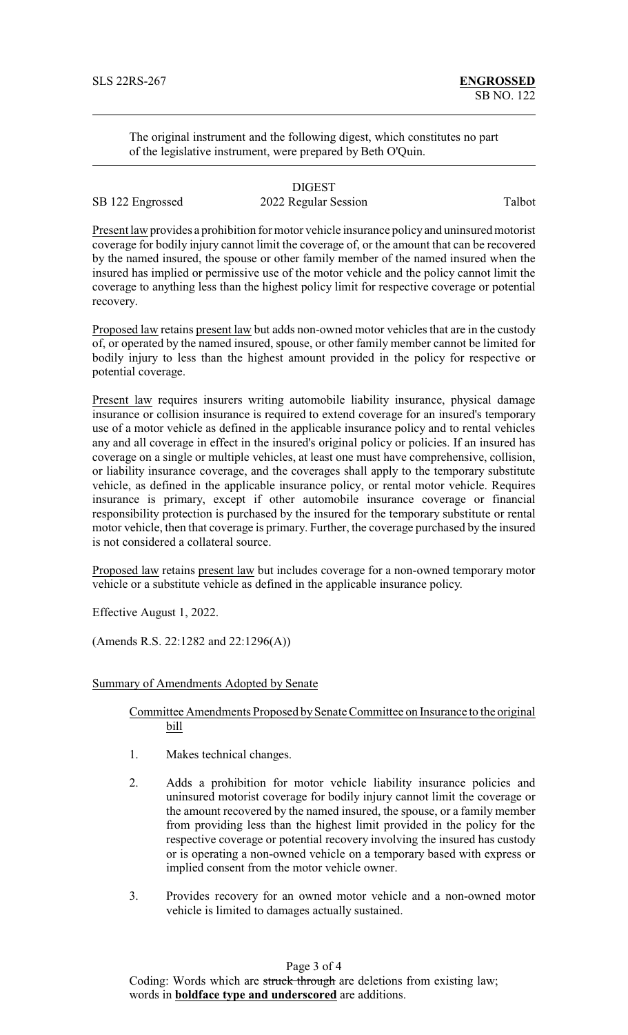The original instrument and the following digest, which constitutes no part of the legislative instrument, were prepared by Beth O'Quin.

## DIGEST SB 122 Engrossed 2022 Regular Session Talbot

Present law provides a prohibition for motor vehicle insurance policy and uninsured motorist coverage for bodily injury cannot limit the coverage of, or the amount that can be recovered by the named insured, the spouse or other family member of the named insured when the insured has implied or permissive use of the motor vehicle and the policy cannot limit the coverage to anything less than the highest policy limit for respective coverage or potential recovery.

Proposed law retains present law but adds non-owned motor vehicles that are in the custody of, or operated by the named insured, spouse, or other family member cannot be limited for bodily injury to less than the highest amount provided in the policy for respective or potential coverage.

Present law requires insurers writing automobile liability insurance, physical damage insurance or collision insurance is required to extend coverage for an insured's temporary use of a motor vehicle as defined in the applicable insurance policy and to rental vehicles any and all coverage in effect in the insured's original policy or policies. If an insured has coverage on a single or multiple vehicles, at least one must have comprehensive, collision, or liability insurance coverage, and the coverages shall apply to the temporary substitute vehicle, as defined in the applicable insurance policy, or rental motor vehicle. Requires insurance is primary, except if other automobile insurance coverage or financial responsibility protection is purchased by the insured for the temporary substitute or rental motor vehicle, then that coverage is primary. Further, the coverage purchased by the insured is not considered a collateral source.

Proposed law retains present law but includes coverage for a non-owned temporary motor vehicle or a substitute vehicle as defined in the applicable insurance policy.

Effective August 1, 2022.

(Amends R.S. 22:1282 and 22:1296(A))

## Summary of Amendments Adopted by Senate

Committee Amendments Proposed by Senate Committee on Insurance to the original bill

- 1. Makes technical changes.
- 2. Adds a prohibition for motor vehicle liability insurance policies and uninsured motorist coverage for bodily injury cannot limit the coverage or the amount recovered by the named insured, the spouse, or a family member from providing less than the highest limit provided in the policy for the respective coverage or potential recovery involving the insured has custody or is operating a non-owned vehicle on a temporary based with express or implied consent from the motor vehicle owner.
- 3. Provides recovery for an owned motor vehicle and a non-owned motor vehicle is limited to damages actually sustained.

Page 3 of 4

Coding: Words which are struck through are deletions from existing law; words in **boldface type and underscored** are additions.